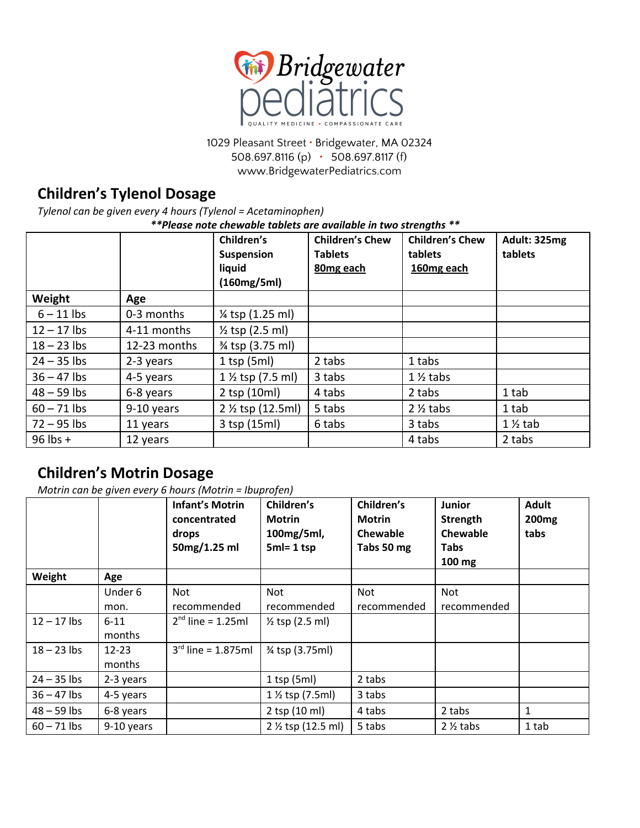

1029 Pleasant Street **·** Bridgewater, MA 02324 508.697.8116 (p) **·** 508.697.8117 (f) www.BridgewaterPediatrics.com

# **Children's Tylenol Dosage**

*Tylenol can be given every 4 hours (Tylenol = Acetaminophen)*

*\*\*Please note chewable tablets are available in two strengths \*\**

|               |              | Children's<br><b>Suspension</b> | <b>Children's Chew</b><br><b>Tablets</b> | <b>Children's Chew</b><br>tablets | Adult: 325mg<br>tablets |
|---------------|--------------|---------------------------------|------------------------------------------|-----------------------------------|-------------------------|
|               |              | liquid                          | 80mg each                                | 160mg each                        |                         |
|               |              | (160mg/5ml)                     |                                          |                                   |                         |
| Weight        | Age          |                                 |                                          |                                   |                         |
| $6 - 11$ lbs  | 0-3 months   | 1/ <sub>4</sub> tsp (1.25 ml)   |                                          |                                   |                         |
| $12 - 17$ lbs | 4-11 months  | $\frac{1}{2}$ tsp (2.5 ml)      |                                          |                                   |                         |
| $18 - 23$ lbs | 12-23 months | % tsp (3.75 ml)                 |                                          |                                   |                         |
| $24 - 35$ lbs | 2-3 years    | $1$ tsp (5ml)                   | 2 tabs                                   | 1 tabs                            |                         |
| $36 - 47$ lbs | 4-5 years    | $1\frac{1}{2}$ tsp (7.5 ml)     | 3 tabs                                   | $1\frac{1}{2}$ tabs               |                         |
| $48 - 59$ lbs | 6-8 years    | 2 tsp (10ml)                    | 4 tabs                                   | 2 tabs                            | 1 tab                   |
| $60 - 71$ lbs | 9-10 years   | 2 1/2 tsp (12.5ml)              | 5 tabs                                   | $2\frac{1}{2}$ tabs               | 1 tab                   |
| $72 - 95$ lbs | 11 years     | 3 tsp (15ml)                    | 6 tabs                                   | 3 tabs                            | $1\frac{1}{2}$ tab      |
| $96$ lbs +    | 12 years     |                                 |                                          | 4 tabs                            | 2 tabs                  |

## **Children's Motrin Dosage**

*Motrin can be given every 6 hours (Motrin = Ibuprofen)*

|               |                     | <b>Infant's Motrin</b><br>concentrated<br>drops<br>50mg/1.25 ml | Children's<br><b>Motrin</b><br>100mg/5ml,<br>$5ml = 1$ tsp | Children's<br><b>Motrin</b><br><b>Chewable</b><br>Tabs 50 mg | <b>Junior</b><br>Strength<br>Chewable<br><b>Tabs</b><br>$100 \text{ mg}$ | <b>Adult</b><br>200 <sub>mg</sub><br>tabs |
|---------------|---------------------|-----------------------------------------------------------------|------------------------------------------------------------|--------------------------------------------------------------|--------------------------------------------------------------------------|-------------------------------------------|
| Weight        | Age                 |                                                                 |                                                            |                                                              |                                                                          |                                           |
|               | Under 6             | Not                                                             | Not                                                        | Not                                                          | <b>Not</b>                                                               |                                           |
|               | mon.                | recommended                                                     | recommended                                                | recommended                                                  | recommended                                                              |                                           |
| $12 - 17$ lbs | $6 - 11$<br>months  | $2^{nd}$ line = 1.25ml                                          | $\frac{1}{2}$ tsp (2.5 ml)                                 |                                                              |                                                                          |                                           |
| $18 - 23$ lbs | $12 - 23$<br>months | $3^{rd}$ line = 1.875ml                                         | % tsp (3.75ml)                                             |                                                              |                                                                          |                                           |
| $24 - 35$ lbs | 2-3 years           |                                                                 | $1$ tsp (5ml)                                              | 2 tabs                                                       |                                                                          |                                           |
| $36 - 47$ lbs | 4-5 years           |                                                                 | $1\frac{1}{2}$ tsp (7.5ml)                                 | 3 tabs                                                       |                                                                          |                                           |
| $48 - 59$ lbs | 6-8 years           |                                                                 | 2 tsp (10 ml)                                              | 4 tabs                                                       | 2 tabs                                                                   | 1                                         |
| $60 - 71$ lbs | 9-10 years          |                                                                 | 2 1/2 tsp (12.5 ml)                                        | 5 tabs                                                       | $2\frac{1}{2}$ tabs                                                      | 1 tab                                     |